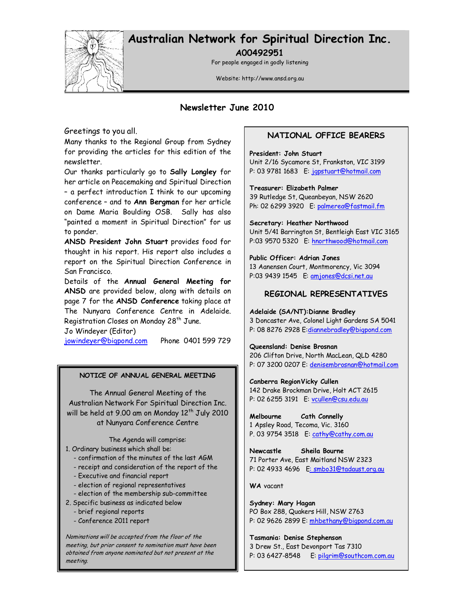

# Australian Network for Spiritual Direction Inc.

A00492951

For people engaged in godly listening

Website: http://www.ansd.org.au

### Newsletter June 2010

Greetings to you all.

Many thanks to the Regional Group from Sydney for providing the articles for this edition of the newsletter.

Our thanks particularly go to Sally Longley for her article on Peacemaking and Spiritual Direction – a perfect introduction I think to our upcoming conference – and to Ann Bergman for her article on Dame Maria Boulding OSB. Sally has also "painted a moment in Spiritual Direction" for us to ponder.

ANSD President John Stuart provides food for thought in his report. His report also includes a report on the Spiritual Direction Conference in San Francisco.

Details of the Annual General Meeting for ANSD are provided below, along with details on page 7 for the ANSD Conference taking place at The Nunyara Conference Centre in Adelaide. Registration Closes on Monday 28<sup>th</sup> June.

Jo Windeyer (Editor)

jowindeyer@bigpond.com Phone 0401 599 729

#### NOTICE OF ANNUAL GENERAL MEETING

The Annual General Meeting of the Australian Network For Spiritual Direction Inc. will be held at 9.00 am on Monday  $12^{th}$  July 2010 at Nunyara Conference Centre

The Agenda will comprise:

1. Ordinary business which shall be:

- confirmation of the minutes of the last AGM

- receipt and consideration of the report of the
- Executive and financial report

- election of regional representatives

- election of the membership sub-committee
- 2. Specific business as indicated below
	- brief regional reports
	- Conference 2011 report

Nominations will be accepted from the floor of the meeting, but prior consent to nomination must have been obtained from anyone nominated but not present at the meeting.

### NATIONAL OFFICE BEARERS

President: John Stuart Unit 2/16 Sycamore St, Frankston, VIC 3199 P: 03 9781 1683 E: jgpstuart@hotmail.com

Treasurer: Elizabeth Palmer 39 Rutledge St, Queanbeyan, NSW 2620 Ph: 02 6299 3920 E: palmerea@fastmail.fm

Secretary: Heather Northwood Unit 5/41 Barrington St, Bentleigh East VIC 3165 P:03 9570 5320 E: hnorthwood@hotmail.com

#### Public Officer: Adrian Jones

13 Aanensen Court, Montmorency, Vic 3094 P:03 9439 1545 E: amjones@dcsi.net.au

#### REGIONAL REPRESENTATIVES

#### Adelaide (SA/NT):Dianne Bradley

3 Doncaster Ave, Colonel Light Gardens SA 5041 P: 08 8276 2928 E:diannebradley@bigpond.com

#### Queensland: Denise Brosnan

206 Clifton Drive, North MacLean, QLD 4280 P: 07 3200 0207 E: denisembrosnan@hotmail.com

#### Canberra Region Vicky Cullen

142 Drake Brockman Drive, Holt ACT 2615 P: 02 6255 3191 E: vcullen@csu.edu.au

Melbourne Cath Connelly 1 Apsley Road, Tecoma, Vic. 3160 P. 03 9754 3518 E: cathy@cathy.com.au

Newcastle Sheila Bourne 71 Porter Ave, East Maitland NSW 2323 P: 02 4933 4696 E: smbo31@tadaust.org.au

WA vacant

Sydney: Mary Hagan PO Box 288, Quakers Hill, NSW 2763 P: 02 9626 2899 E: mhbethany@bigpond.com.au

Tasmania: Denise Stephenson 3 Drew St., East Devonport Tas 7310 P: 03 6427-8548 E: pilgrim@southcom.com.au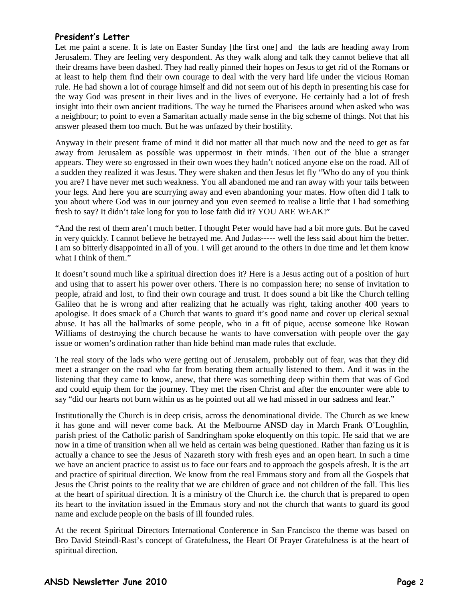### President's Letter

Let me paint a scene. It is late on Easter Sunday [the first one] and the lads are heading away from Jerusalem. They are feeling very despondent. As they walk along and talk they cannot believe that all their dreams have been dashed. They had really pinned their hopes on Jesus to get rid of the Romans or at least to help them find their own courage to deal with the very hard life under the vicious Roman rule. He had shown a lot of courage himself and did not seem out of his depth in presenting his case for the way God was present in their lives and in the lives of everyone. He certainly had a lot of fresh insight into their own ancient traditions. The way he turned the Pharisees around when asked who was a neighbour; to point to even a Samaritan actually made sense in the big scheme of things. Not that his answer pleased them too much. But he was unfazed by their hostility.

Anyway in their present frame of mind it did not matter all that much now and the need to get as far away from Jerusalem as possible was uppermost in their minds. Then out of the blue a stranger appears. They were so engrossed in their own woes they hadn't noticed anyone else on the road. All of a sudden they realized it was Jesus. They were shaken and then Jesus let fly "Who do any of you think you are? I have never met such weakness. You all abandoned me and ran away with your tails between your legs. And here you are scurrying away and even abandoning your mates. How often did I talk to you about where God was in our journey and you even seemed to realise a little that I had something fresh to say? It didn't take long for you to lose faith did it? YOU ARE WEAK!"

"And the rest of them aren't much better. I thought Peter would have had a bit more guts. But he caved in very quickly. I cannot believe he betrayed me. And Judas----- well the less said about him the better. I am so bitterly disappointed in all of you. I will get around to the others in due time and let them know what I think of them."

It doesn't sound much like a spiritual direction does it? Here is a Jesus acting out of a position of hurt and using that to assert his power over others. There is no compassion here; no sense of invitation to people, afraid and lost, to find their own courage and trust. It does sound a bit like the Church telling Galileo that he is wrong and after realizing that he actually was right, taking another 400 years to apologise. It does smack of a Church that wants to guard it's good name and cover up clerical sexual abuse. It has all the hallmarks of some people, who in a fit of pique, accuse someone like Rowan Williams of destroying the church because he wants to have conversation with people over the gay issue or women's ordination rather than hide behind man made rules that exclude.

The real story of the lads who were getting out of Jerusalem, probably out of fear, was that they did meet a stranger on the road who far from berating them actually listened to them. And it was in the listening that they came to know, anew, that there was something deep within them that was of God and could equip them for the journey. They met the risen Christ and after the encounter were able to say "did our hearts not burn within us as he pointed out all we had missed in our sadness and fear."

Institutionally the Church is in deep crisis, across the denominational divide. The Church as we knew it has gone and will never come back. At the Melbourne ANSD day in March Frank O'Loughlin, parish priest of the Catholic parish of Sandringham spoke eloquently on this topic. He said that we are now in a time of transition when all we held as certain was being questioned. Rather than fazing us it is actually a chance to see the Jesus of Nazareth story with fresh eyes and an open heart. In such a time we have an ancient practice to assist us to face our fears and to approach the gospels afresh. It is the art and practice of spiritual direction. We know from the real Emmaus story and from all the Gospels that Jesus the Christ points to the reality that we are children of grace and not children of the fall. This lies at the heart of spiritual direction. It is a ministry of the Church i.e. the church that is prepared to open its heart to the invitation issued in the Emmaus story and not the church that wants to guard its good name and exclude people on the basis of ill founded rules.

At the recent Spiritual Directors International Conference in San Francisco the theme was based on Bro David Steindl-Rast's concept of Gratefulness, the Heart Of Prayer Gratefulness is at the heart of spiritual direction.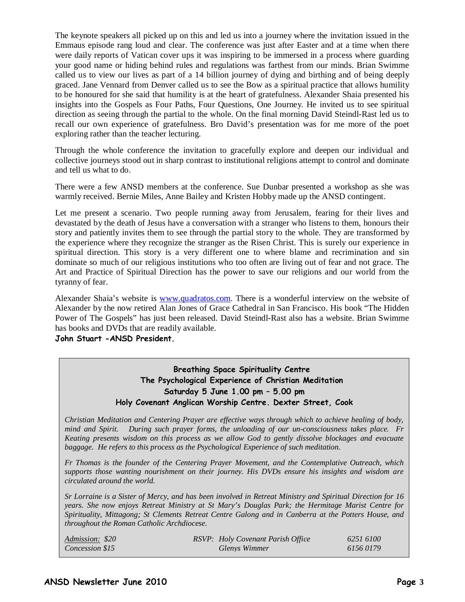The keynote speakers all picked up on this and led us into a journey where the invitation issued in the Emmaus episode rang loud and clear. The conference was just after Easter and at a time when there were daily reports of Vatican cover ups it was inspiring to be immersed in a process where guarding your good name or hiding behind rules and regulations was farthest from our minds. Brian Swimme called us to view our lives as part of a 14 billion journey of dying and birthing and of being deeply graced. Jane Vennard from Denver called us to see the Bow as a spiritual practice that allows humility to be honoured for she said that humility is at the heart of gratefulness. Alexander Shaia presented his insights into the Gospels as Four Paths, Four Questions, One Journey. He invited us to see spiritual direction as seeing through the partial to the whole. On the final morning David Steindl-Rast led us to recall our own experience of gratefulness. Bro David's presentation was for me more of the poet exploring rather than the teacher lecturing.

Through the whole conference the invitation to gracefully explore and deepen our individual and collective journeys stood out in sharp contrast to institutional religions attempt to control and dominate and tell us what to do.

There were a few ANSD members at the conference. Sue Dunbar presented a workshop as she was warmly received. Bernie Miles, Anne Bailey and Kristen Hobby made up the ANSD contingent.

Let me present a scenario. Two people running away from Jerusalem, fearing for their lives and devastated by the death of Jesus have a conversation with a stranger who listens to them, honours their story and patiently invites them to see through the partial story to the whole. They are transformed by the experience where they recognize the stranger as the Risen Christ. This is surely our experience in spiritual direction. This story is a very different one to where blame and recrimination and sin dominate so much of our religious institutions who too often are living out of fear and not grace. The Art and Practice of Spiritual Direction has the power to save our religions and our world from the tyranny of fear.

Alexander Shaia's website is www.quadratos.com. There is a wonderful interview on the website of Alexander by the now retired Alan Jones of Grace Cathedral in San Francisco. His book "The Hidden Power of The Gospels" has just been released. David Steindl-Rast also has a website. Brian Swimme has books and DVDs that are readily available.

John Stuart -ANSD President.

### Breathing Space Spirituality Centre The Psychological Experience of Christian Meditation Saturday 5 June 1.00 pm – 5.00 pm Holy Covenant Anglican Worship Centre. Dexter Street, Cook

*Christian Meditation and Centering Prayer are effective ways through which to achieve healing of body, mind and Spirit. During such prayer forms, the unloading of our un-consciousness takes place. Fr Keating presents wisdom on this process as we allow God to gently dissolve blockages and evacuate baggage. He refers to this process as the Psychological Experience of such meditation.* 

*Fr Thomas is the founder of the Centering Prayer Movement, and the Contemplative Outreach, which supports those wanting nourishment on their journey. His DVDs ensure his insights and wisdom are circulated around the world.* 

*Sr Lorraine is a Sister of Mercy, and has been involved in Retreat Ministry and Spiritual Direction for 16 years. She now enjoys Retreat Ministry at St Mary's Douglas Park; the Hermitage Marist Centre for Spirituality, Mittagong; St Clements Retreat Centre Galong and in Canberra at the Potters House, and throughout the Roman Catholic Archdiocese.* 

| Admission: \$20 | <b>RSVP:</b> Holy Covenant Parish Office | 6251 6100 |
|-----------------|------------------------------------------|-----------|
| Concession \$15 | Glenys Wimmer                            | 61560179  |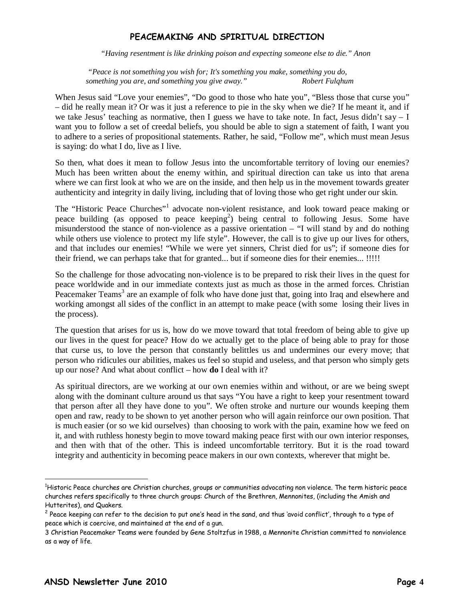### PEACEMAKING AND SPIRITUAL DIRECTION

*"Having resentment is like drinking poison and expecting someone else to die." Anon* 

 *"Peace is not something you wish for; It's something you make, something you do, something you are, and something you give away." Robert Fulqhum* 

When Jesus said "Love your enemies", "Do good to those who hate you", "Bless those that curse you" – did he really mean it? Or was it just a reference to pie in the sky when we die? If he meant it, and if we take Jesus' teaching as normative, then I guess we have to take note. In fact, Jesus didn't say – I want you to follow a set of creedal beliefs, you should be able to sign a statement of faith, I want you to adhere to a series of propositional statements. Rather, he said, "Follow me", which must mean Jesus is saying: do what I do, live as I live.

So then, what does it mean to follow Jesus into the uncomfortable territory of loving our enemies? Much has been written about the enemy within, and spiritual direction can take us into that arena where we can first look at who we are on the inside, and then help us in the movement towards greater authenticity and integrity in daily living, including that of loving those who get right under our skin.

The "Historic Peace Churches"<sup>1</sup> advocate non-violent resistance, and look toward peace making or peace building (as opposed to peace keeping<sup>2</sup>) being central to following Jesus. Some have misunderstood the stance of non-violence as a passive orientation – "I will stand by and do nothing while others use violence to protect my life style". However, the call is to give up our lives for others, and that includes our enemies! "While we were yet sinners, Christ died for us"; if someone dies for their friend, we can perhaps take that for granted... but if someone dies for their enemies... !!!!!

So the challenge for those advocating non-violence is to be prepared to risk their lives in the quest for peace worldwide and in our immediate contexts just as much as those in the armed forces. Christian Peacemaker Teams<sup>3</sup> are an example of folk who have done just that, going into Iraq and elsewhere and working amongst all sides of the conflict in an attempt to make peace (with some losing their lives in the process).

The question that arises for us is, how do we move toward that total freedom of being able to give up our lives in the quest for peace? How do we actually get to the place of being able to pray for those that curse us, to love the person that constantly belittles us and undermines our every move; that person who ridicules our abilities, makes us feel so stupid and useless, and that person who simply gets up our nose? And what about conflict – how **do** I deal with it?

As spiritual directors, are we working at our own enemies within and without, or are we being swept along with the dominant culture around us that says "You have a right to keep your resentment toward that person after all they have done to you". We often stroke and nurture our wounds keeping them open and raw, ready to be shown to yet another person who will again reinforce our own position. That is much easier (or so we kid ourselves) than choosing to work with the pain, examine how we feed on it, and with ruthless honesty begin to move toward making peace first with our own interior responses, and then with that of the other. This is indeed uncomfortable territory. But it is the road toward integrity and authenticity in becoming peace makers in our own contexts, wherever that might be.

 $\overline{a}$ 

<sup>&</sup>lt;sup>1</sup>Historic Peace churches are Christian churches, groups or communities advocating non violence. The term historic peace churches refers specifically to three church groups: Church of the Brethren, Mennonites, (including the Amish and Hutterites), and Quakers.

 $^2$  Peace keeping can refer to the decision to put one's head in the sand, and thus 'avoid conflict', through to a type of peace which is coercive, and maintained at the end of a gun.

<sup>3</sup> Christian Peacemaker Teams were founded by Gene Stoltzfus in 1988, a Mennonite Christian committed to nonviolence as a way of life.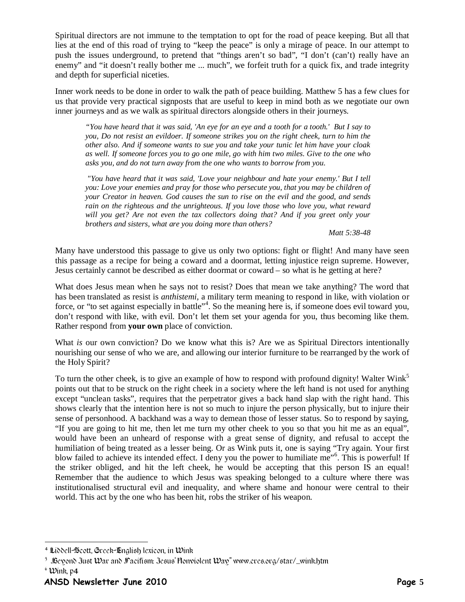Spiritual directors are not immune to the temptation to opt for the road of peace keeping. But all that lies at the end of this road of trying to "keep the peace" is only a mirage of peace. In our attempt to push the issues underground, to pretend that "things aren't so bad", "I don't (can't) really have an enemy" and "it doesn't really bother me ... much", we forfeit truth for a quick fix, and trade integrity and depth for superficial niceties.

Inner work needs to be done in order to walk the path of peace building. Matthew 5 has a few clues for us that provide very practical signposts that are useful to keep in mind both as we negotiate our own inner journeys and as we walk as spiritual directors alongside others in their journeys.

*"You have heard that it was said, 'An eye for an eye and a tooth for a tooth.' But I say to you, Do not resist an evildoer. If someone strikes you on the right cheek, turn to him the other also. And if someone wants to sue you and take your tunic let him have your cloak as well. If someone forces you to go one mile, go with him two miles. Give to the one who asks you, and do not turn away from the one who wants to borrow from you.* 

 *"You have heard that it was said, 'Love your neighbour and hate your enemy.' But I tell you: Love your enemies and pray for those who persecute you, that you may be children of your Creator in heaven. God causes the sun to rise on the evil and the good, and sends rain on the righteous and the unrighteous. If you love those who love you, what reward will you get? Are not even the tax collectors doing that? And if you greet only your brothers and sisters, what are you doing more than others?* 

*Matt 5:38-48* 

Many have understood this passage to give us only two options: fight or flight! And many have seen this passage as a recipe for being a coward and a doormat, letting injustice reign supreme. However, Jesus certainly cannot be described as either doormat or coward – so what is he getting at here?

What does Jesus mean when he says not to resist? Does that mean we take anything? The word that has been translated as resist is *anthistemi,* a military term meaning to respond in like, with violation or force, or "to set against especially in battle"<sup>4</sup>. So the meaning here is, if someone does evil toward you, don't respond with like, with evil. Don't let them set your agenda for you, thus becoming like them. Rather respond from **your own** place of conviction.

What *is* our own conviction? Do we know what this is? Are we as Spiritual Directors intentionally nourishing our sense of who we are, and allowing our interior furniture to be rearranged by the work of the Holy Spirit?

To turn the other cheek, is to give an example of how to respond with profound dignity! Walter Wink<sup>5</sup> points out that to be struck on the right cheek in a society where the left hand is not used for anything except "unclean tasks", requires that the perpetrator gives a back hand slap with the right hand. This shows clearly that the intention here is not so much to injure the person physically, but to injure their sense of personhood. A backhand was a way to demean those of lesser status. So to respond by saying, "If you are going to hit me, then let me turn my other cheek to you so that you hit me as an equal", would have been an unheard of response with a great sense of dignity, and refusal to accept the humiliation of being treated as a lesser being. Or as Wink puts it, one is saying "Try again. Your first blow failed to achieve its intended effect. I deny you the power to humiliate me"<sup>6</sup>. This is powerful! If the striker obliged, and hit the left cheek, he would be accepting that this person IS an equal! Remember that the audience to which Jesus was speaking belonged to a culture where there was institutionalised structural evil and inequality, and where shame and honour were central to their world. This act by the one who has been hit, robs the striker of his weapon.

 $^{\circ}$  Wink, p4  $^{\circ}$ 

 $\ddot{\phantom{a}}$ 

 $^4$  Liddell-Scott, Greek-English lexicon, in Wink-

 $^5$  .Beyond Just War and Facifism: Jesus' Honviolent Way" www.cres.org/star/\_wink.htm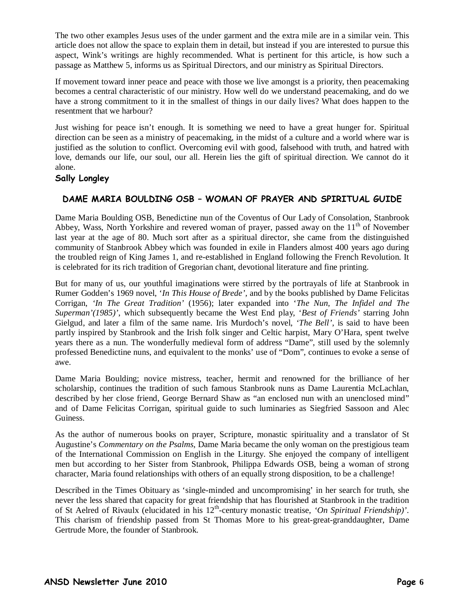The two other examples Jesus uses of the under garment and the extra mile are in a similar vein. This article does not allow the space to explain them in detail, but instead if you are interested to pursue this aspect, Wink's writings are highly recommended. What is pertinent for this article, is how such a passage as Matthew 5, informs us as Spiritual Directors, and our ministry as Spiritual Directors.

If movement toward inner peace and peace with those we live amongst is a priority, then peacemaking becomes a central characteristic of our ministry. How well do we understand peacemaking, and do we have a strong commitment to it in the smallest of things in our daily lives? What does happen to the resentment that we harbour?

Just wishing for peace isn't enough. It is something we need to have a great hunger for. Spiritual direction can be seen as a ministry of peacemaking, in the midst of a culture and a world where war is justified as the solution to conflict. Overcoming evil with good, falsehood with truth, and hatred with love, demands our life, our soul, our all. Herein lies the gift of spiritual direction. We cannot do it alone.

### Sally Longley

### DAME MARIA BOULDING OSB – WOMAN OF PRAYER AND SPIRITUAL GUIDE

Dame Maria Boulding OSB, Benedictine nun of the Coventus of Our Lady of Consolation, Stanbrook Abbey, Wass, North Yorkshire and revered woman of prayer, passed away on the  $11<sup>th</sup>$  of November last year at the age of 80. Much sort after as a spiritual director, she came from the distinguished community of Stanbrook Abbey which was founded in exile in Flanders almost 400 years ago during the troubled reign of King James 1, and re-established in England following the French Revolution. It is celebrated for its rich tradition of Gregorian chant, devotional literature and fine printing.

But for many of us, our youthful imaginations were stirred by the portrayals of life at Stanbrook in Rumer Godden's 1969 novel, '*In This House of Brede',* and by the books published by Dame Felicitas Corrigan, *'In The Great Tradition'* (1956); later expanded into '*The Nun, The Infidel and The Superman'(1985)'*, which subsequently became the West End play, '*Best of Friends'* starring John Gielgud, and later a film of the same name. Iris Murdoch's novel, *'The Bell'*, is said to have been partly inspired by Stanbrook and the Irish folk singer and Celtic harpist, Mary O'Hara, spent twelve years there as a nun. The wonderfully medieval form of address "Dame", still used by the solemnly professed Benedictine nuns, and equivalent to the monks' use of "Dom", continues to evoke a sense of awe.

Dame Maria Boulding; novice mistress, teacher, hermit and renowned for the brilliance of her scholarship, continues the tradition of such famous Stanbrook nuns as Dame Laurentia McLachlan, described by her close friend, George Bernard Shaw as "an enclosed nun with an unenclosed mind" and of Dame Felicitas Corrigan, spiritual guide to such luminaries as Siegfried Sassoon and Alec Guiness.

As the author of numerous books on prayer, Scripture, monastic spirituality and a translator of St Augustine's *Commentary on the Psalms*, Dame Maria became the only woman on the prestigious team of the International Commission on English in the Liturgy. She enjoyed the company of intelligent men but according to her Sister from Stanbrook, Philippa Edwards OSB, being a woman of strong character, Maria found relationships with others of an equally strong disposition, to be a challenge!

Described in the Times Obituary as 'single-minded and uncompromising' in her search for truth, she never the less shared that capacity for great friendship that has flourished at Stanbrook in the tradition of St Aelred of Rivaulx (elucidated in his 12<sup>th</sup>-century monastic treatise, 'On Spiritual Friendship)'. This charism of friendship passed from St Thomas More to his great-great-granddaughter, Dame Gertrude More, the founder of Stanbrook.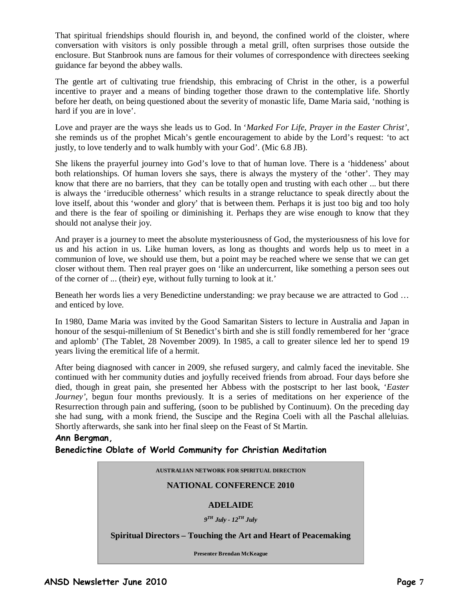That spiritual friendships should flourish in, and beyond, the confined world of the cloister, where conversation with visitors is only possible through a metal grill, often surprises those outside the enclosure. But Stanbrook nuns are famous for their volumes of correspondence with directees seeking guidance far beyond the abbey walls.

The gentle art of cultivating true friendship, this embracing of Christ in the other, is a powerful incentive to prayer and a means of binding together those drawn to the contemplative life. Shortly before her death, on being questioned about the severity of monastic life, Dame Maria said, 'nothing is hard if you are in love'.

Love and prayer are the ways she leads us to God. In '*Marked For Life, Prayer in the Easter Christ',*  she reminds us of the prophet Micah's gentle encouragement to abide by the Lord's request: 'to act justly, to love tenderly and to walk humbly with your God'. (Mic 6.8 JB).

She likens the prayerful journey into God's love to that of human love. There is a 'hiddeness' about both relationships. Of human lovers she says, there is always the mystery of the 'other'. They may know that there are no barriers, that they can be totally open and trusting with each other ... but there is always the 'irreducible otherness' which results in a strange reluctance to speak directly about the love itself, about this 'wonder and glory' that is between them. Perhaps it is just too big and too holy and there is the fear of spoiling or diminishing it. Perhaps they are wise enough to know that they should not analyse their joy.

And prayer is a journey to meet the absolute mysteriousness of God, the mysteriousness of his love for us and his action in us. Like human lovers, as long as thoughts and words help us to meet in a communion of love, we should use them, but a point may be reached where we sense that we can get closer without them. Then real prayer goes on 'like an undercurrent, like something a person sees out of the corner of ... (their) eye, without fully turning to look at it.'

Beneath her words lies a very Benedictine understanding: we pray because we are attracted to God ... and enticed by love.

In 1980, Dame Maria was invited by the Good Samaritan Sisters to lecture in Australia and Japan in honour of the sesqui-millenium of St Benedict's birth and she is still fondly remembered for her 'grace and aplomb' (The Tablet, 28 November 2009). In 1985, a call to greater silence led her to spend 19 years living the eremitical life of a hermit.

After being diagnosed with cancer in 2009, she refused surgery, and calmly faced the inevitable. She continued with her community duties and joyfully received friends from abroad. Four days before she died, though in great pain, she presented her Abbess with the postscript to her last book, '*Easter Journey'*, begun four months previously. It is a series of meditations on her experience of the Resurrection through pain and suffering, (soon to be published by Continuum). On the preceding day she had sung, with a monk friend, the Suscipe and the Regina Coeli with all the Paschal alleluias. Shortly afterwards, she sank into her final sleep on the Feast of St Martin.

### Ann Bergman, Benedictine Oblate of World Community for Christian Meditation

#### **AUSTRALIAN NETWORK FOR SPIRITUAL DIRECTION**

#### **NATIONAL CONFERENCE 2010**

#### **ADELAIDE**

*9 TH July - 12TH July* 

#### **Spiritual Directors – Touching the Art and Heart of Peacemaking**

**Presenter Brendan McKeague**